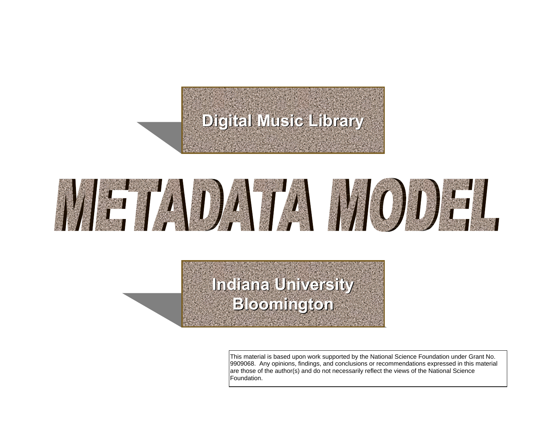## **Digital Music Library Digital Music Library**



## **Indiana University Indiana University Bloomington Bloomington**

This material is based upon work supported by the National Science Foundation under Grant No. 9909068. Any opinions, findings, and conclusions or recommendations expressed in this material are those of the author(s) and do not necessarily reflect the views of the National Science Foundation.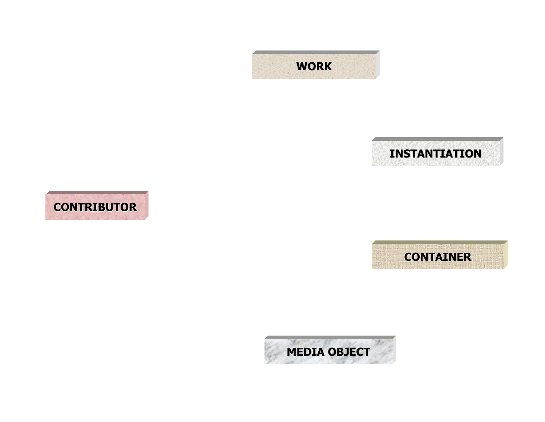







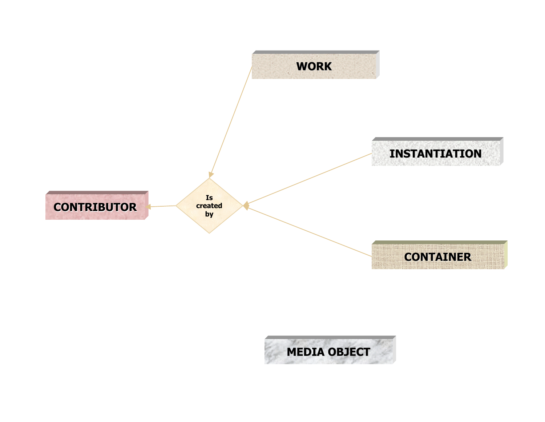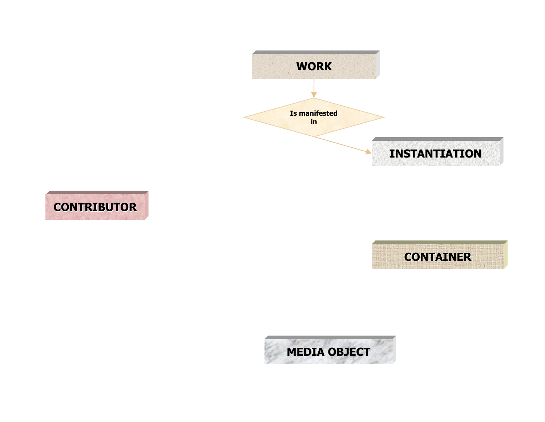





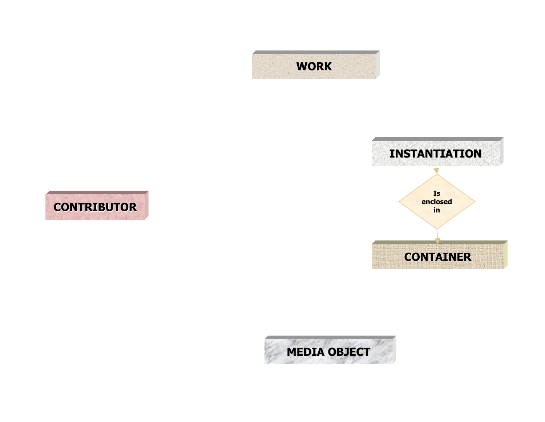





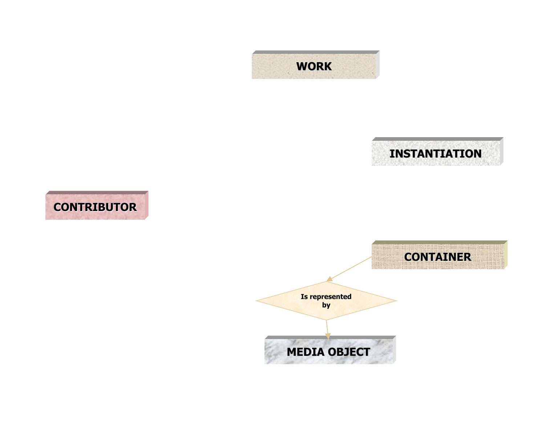







**Is represented by**

**RACTIONS MEDIA OBJECT**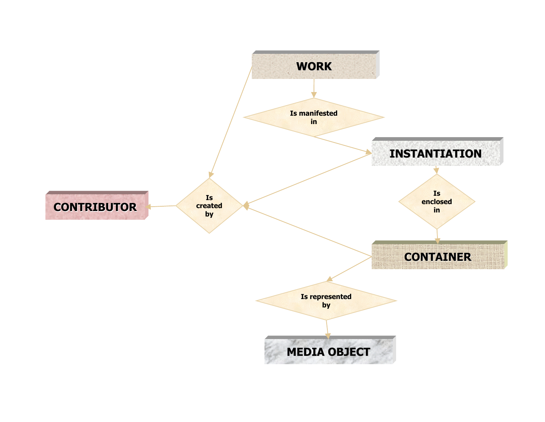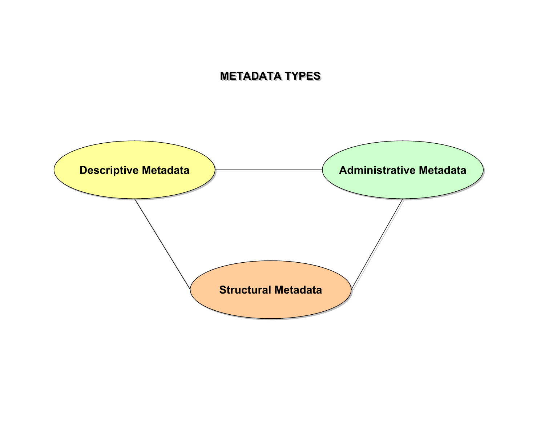## **METADATA TYPES METADATA TYPES**

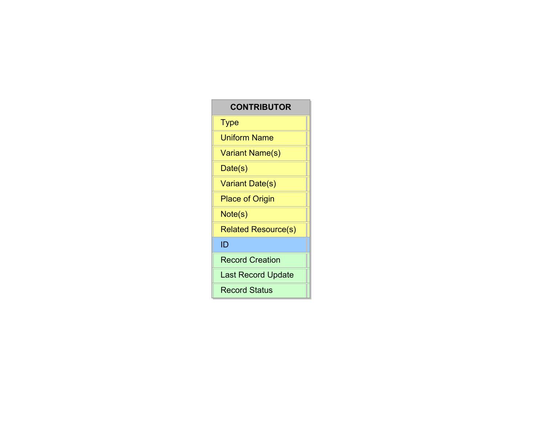## **CONTRIBUTOR Type Uniform Name Variant Name(s)** Date(s) Variant Date(s) **Place of Origin** Note(s) **Related Resource(s)** ID **Record Creation** Last Record Update **Record Status**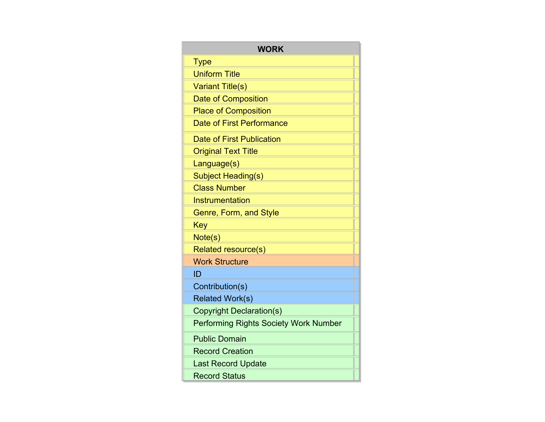| <b>WORK</b>                                  |
|----------------------------------------------|
| <b>Type</b>                                  |
| <b>Uniform Title</b>                         |
| <b>Variant Title(s)</b>                      |
| Date of Composition                          |
| <b>Place of Composition</b>                  |
| Date of First Performance                    |
| Date of First Publication                    |
| <b>Original Text Title</b>                   |
| Language(s)                                  |
| Subject Heading(s)                           |
| <b>Class Number</b>                          |
| Instrumentation                              |
| Genre, Form, and Style                       |
| Key                                          |
| Note(s)                                      |
| Related resource(s)                          |
| <b>Work Structure</b>                        |
| ID                                           |
| Contribution(s)                              |
| <b>Related Work(s)</b>                       |
| <b>Copyright Declaration(s)</b>              |
| <b>Performing Rights Society Work Number</b> |
| <b>Public Domain</b>                         |
| <b>Record Creation</b>                       |
| <b>Last Record Update</b>                    |
| <b>Record Status</b>                         |